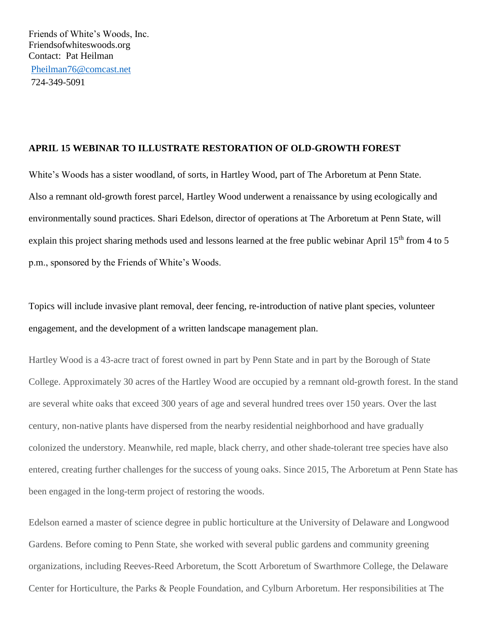## **APRIL 15 WEBINAR TO ILLUSTRATE RESTORATION OF OLD-GROWTH FOREST**

White's Woods has a sister woodland, of sorts, in Hartley Wood, part of The Arboretum at Penn State. Also a remnant old-growth forest parcel, Hartley Wood underwent a renaissance by using ecologically and environmentally sound practices. Shari Edelson, director of operations at The Arboretum at Penn State, will explain this project sharing methods used and lessons learned at the free public webinar April  $15<sup>th</sup>$  from 4 to 5 p.m., sponsored by the Friends of White's Woods.

Topics will include invasive plant removal, deer fencing, re-introduction of native plant species, volunteer engagement, and the development of a written landscape management plan.

Hartley Wood is a 43-acre tract of forest owned in part by Penn State and in part by the Borough of State College. Approximately 30 acres of the Hartley Wood are occupied by a remnant old-growth forest. In the stand are several white oaks that exceed 300 years of age and several hundred trees over 150 years. Over the last century, non-native plants have dispersed from the nearby residential neighborhood and have gradually colonized the understory. Meanwhile, red maple, black cherry, and other shade-tolerant tree species have also entered, creating further challenges for the success of young oaks. Since 2015, The Arboretum at Penn State has been engaged in the long-term project of restoring the woods.

Edelson earned a master of science degree in public horticulture at the University of Delaware and Longwood Gardens. Before coming to Penn State, she worked with several public gardens and community greening organizations, including Reeves-Reed Arboretum, the Scott Arboretum of Swarthmore College, the Delaware Center for Horticulture, the Parks & People Foundation, and Cylburn Arboretum. Her responsibilities at The